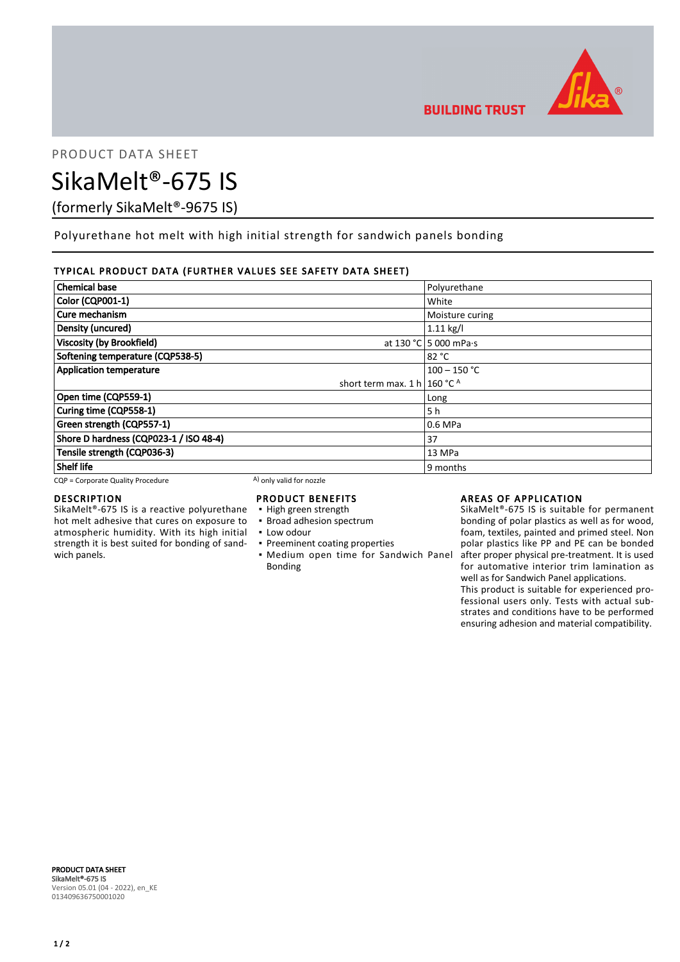

PRODUCT DATA SHEET

# SikaMelt®-675 IS

(formerly SikaMelt®-9675 IS)

Polyurethane hot melt with high initial strength for sandwich panels bonding

## TYPICAL PRODUCT DATA (FURTHER VALUES SEE SAFETY DATA SHEET)

| <b>Chemical base</b>                    | Polyurethane          |
|-----------------------------------------|-----------------------|
| Color (CQP001-1)                        | White                 |
| Cure mechanism                          | Moisture curing       |
| Density (uncured)                       | $1.11$ kg/l           |
| <b>Viscosity (by Brookfield)</b>        | at 130 °C 5 000 mPa·s |
| Softening temperature (CQP538-5)        | 82 °C                 |
| <b>Application temperature</b>          | $100 - 150$ °C        |
| short term max. 1 h   160 °C $^{\circ}$ |                       |
| Open time (CQP559-1)                    | Long                  |
| Curing time (CQP558-1)                  | 5 h                   |
| Green strength (CQP557-1)               | 0.6 MPa               |
| Shore D hardness (CQP023-1 / ISO 48-4)  | 37                    |
| Tensile strength (CQP036-3)             | 13 MPa                |
| <b>Shelf life</b>                       | 9 months              |

 $CQP =$  Corporate Quality Procedure  $(A)$  only valid for nozzle

#### DESCRIPTION

SikaMelt®-675 IS is a reactive polyurethane hot melt adhesive that cures on exposure to atmospheric humidity. With its high initial strength it is best suited for bonding of sandwich panels.

## PRODUCT BENEFITS

- High green strength
- **· Broad adhesion spectrum**
- Low odour
- **Preeminent coating properties**
- **Medium open time for Sandwich Panel** Bonding

## AREAS OF APPLICATION

SikaMelt®-675 IS is suitable for permanent bonding of polar plastics as well as for wood, foam, textiles, painted and primed steel. Non polar plastics like PP and PE can be bonded after proper physical pre-treatment. It is used for automative interior trim lamination as well as for Sandwich Panel applications.

This product is suitable for experienced professional users only. Tests with actual substrates and conditions have to be performed ensuring adhesion and material compatibility.